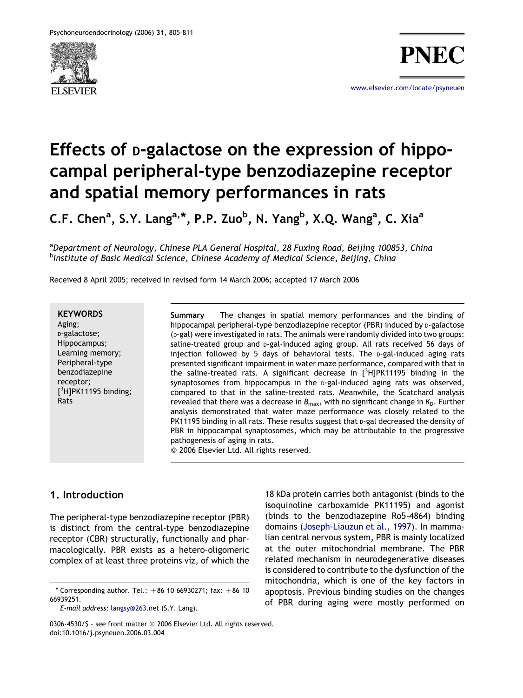

[www.elsevier.com/locate/psyneuen](http://www.elsevier.com/locate/psyneuen)

# Effects of D-galactose on the expression of hippocampal peripheral-type benzodiazepine receptor and spatial memory performances in rats

C.F. Chen<sup>a</sup>, S.Y. Lang<sup>a,\*</sup>, P.P. Zuo<sup>b</sup>, N. Yang<sup>b</sup>, X.Q. Wang<sup>a</sup>, C. Xia<sup>a</sup>

<sup>a</sup>Department of Neurology, Chinese PLA General Hospital, 28 Fuxing Road, Beijing 100853, China <sup>b</sup>Institute of Basic Medical Science, Chinese Academy of Medical Science, Beijing, China

Received 8 April 2005; received in revised form 14 March 2006; accepted 17 March 2006

#### **KEYWORDS**

Aging; D-galactose; Hippocampus; Learning memory; Peripheral-type benzodiazepine receptor;  $[3H]$ PK11195 binding; Rats

Summary The changes in spatial memory performances and the binding of hippocampal peripheral-type benzodiazepine receptor (PBR) induced by p-galactose (D-gal) were investigated in rats. The animals were randomly divided into two groups: saline-treated group and p-gal-induced aging group. All rats received 56 days of injection followed by 5 days of behavioral tests. The  $p$ -gal-induced aging rats presented significant impairment in water maze performance, compared with that in the saline-treated rats. A significant decrease in  $[^3H]$ PK11195 binding in the synaptosomes from hippocampus in the p-gal-induced aging rats was observed, compared to that in the saline-treated rats. Meanwhile, the Scatchard analysis revealed that there was a decrease in  $B_{\text{max}}$ , with no significant change in  $K_{\text{D}}$ . Further analysis demonstrated that water maze performance was closely related to the PK11195 binding in all rats. These results suggest that p-gal decreased the density of PBR in hippocampal synaptosomes, which may be attributable to the progressive pathogenesis of aging in rats.

Q 2006 Elsevier Ltd. All rights reserved.

## 1. Introduction

The peripheral-type benzodiazepine receptor (PBR) is distinct from the central-type benzodiazepine receptor (CBR) structurally, functionally and pharmacologically. PBR exists as a hetero-oligomeric complex of at least three proteins viz, of which the

 $*$  Corresponding author. Tel.:  $+86$  10 66930271; fax:  $+86$  10 66939251.

E-mail address: [langsy@263.net](mailto:langsy@263.net) (S.Y. Lang).

<sup>18</sup> kDa protein carries both antagonist (binds to the isoquinoline carboxamide PK11195) and agonist (binds to the benzodiazepine Ro5-4864) binding domains [\(Joseph-Liauzun et al., 1997](#page--1-0)). In mammalian central nervous system, PBR is mainly localized at the outer mitochondrial membrane. The PBR related mechanism in neurodegenerative diseases is considered to contribute to the dysfunction of the mitochondria, which is one of the key factors in apoptosis. Previous binding studies on the changes of PBR during aging were mostly performed on

<sup>0306-4530/</sup>S - see front matter © 2006 Elsevier Ltd. All rights reserved. doi:10.1016/j.psyneuen.2006.03.004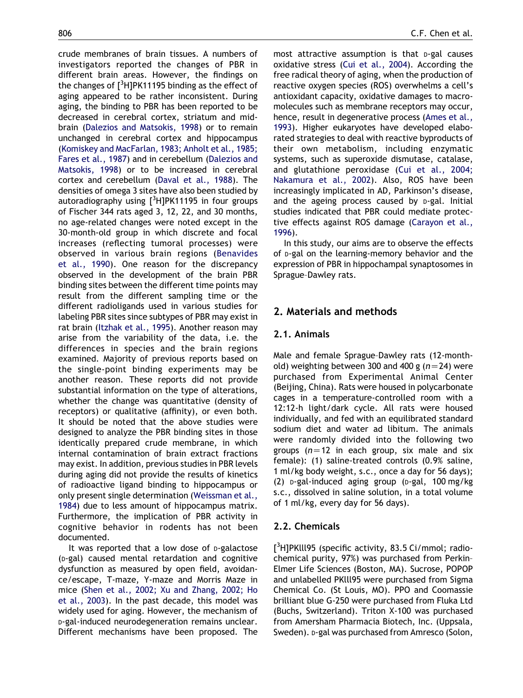crude membranes of brain tissues. A numbers of investigators reported the changes of PBR in different brain areas. However, the findings on the changes of  $[^3$ H]PK11195 binding as the effect of aging appeared to be rather inconsistent. During aging, the binding to PBR has been reported to be decreased in cerebral cortex, striatum and midbrain [\(Dalezios and Matsokis, 1998](#page--1-0)) or to remain unchanged in cerebral cortex and hippocampus [\(Komiskey and MacFarlan, 1983; Anholt et al., 1985;](#page--1-0) [Fares et al., 1987](#page--1-0)) and in cerebellum ([Dalezios and](#page--1-0) [Matsokis, 1998\)](#page--1-0) or to be increased in cerebral cortex and cerebellum ([Daval et al., 1988\)](#page--1-0). The densities of omega 3 sites have also been studied by autoradiography using [<sup>3</sup>H]PK11195 in four groups of Fischer 344 rats aged 3, 12, 22, and 30 months, no age-related changes were noted except in the 30-month-old group in which discrete and focal increases (reflecting tumoral processes) were observed in various brain regions ([Benavides](#page--1-0) [et al., 1990](#page--1-0)). One reason for the discrepancy observed in the development of the brain PBR binding sites between the different time points may result from the different sampling time or the different radioligands used in various studies for labeling PBR sites since subtypes of PBR may exist in rat brain ([Itzhak et al., 1995\)](#page--1-0). Another reason may arise from the variability of the data, i.e. the differences in species and the brain regions examined. Majority of previous reports based on the single-point binding experiments may be another reason. These reports did not provide substantial information on the type of alterations, whether the change was quantitative (density of receptors) or qualitative (affinity), or even both. It should be noted that the above studies were designed to analyze the PBR binding sites in those identically prepared crude membrane, in which internal contamination of brain extract fractions may exist. In addition, previous studies in PBR levels during aging did not provide the results of kinetics of radioactive ligand binding to hippocampus or only present single determination [\(Weissman et al.,](#page--1-0) [1984](#page--1-0)) due to less amount of hippocampus matrix. Furthermore, the implication of PBR activity in cognitive behavior in rodents has not been documented.

It was reported that a low dose of p-galactose (D-gal) caused mental retardation and cognitive dysfunction as measured by open field, avoidance/escape, T-maze, Y-maze and Morris Maze in mice ([Shen et al., 2002; Xu and Zhang, 2002; Ho](#page--1-0) [et al., 2003](#page--1-0)). In the past decade, this model was widely used for aging. However, the mechanism of D-gal-induced neurodegeneration remains unclear. Different mechanisms have been proposed. The

most attractive assumption is that p-gal causes oxidative stress [\(Cui et al., 2004\)](#page--1-0). According the free radical theory of aging, when the production of reactive oxygen species (ROS) overwhelms a cell's antioxidant capacity, oxidative damages to macromolecules such as membrane receptors may occur, hence, result in degenerative process ([Ames et al.,](#page--1-0) [1993](#page--1-0)). Higher eukaryotes have developed elaborated strategies to deal with reactive byproducts of their own metabolism, including enzymatic systems, such as superoxide dismutase, catalase, and glutathione peroxidase ([Cui et al., 2004;](#page--1-0) [Nakamura et al., 2002](#page--1-0)). Also, ROS have been increasingly implicated in AD, Parkinson's disease, and the ageing process caused by p-gal. Initial studies indicated that PBR could mediate protective effects against ROS damage ([Carayon et al.,](#page--1-0) [1996](#page--1-0)).

In this study, our aims are to observe the effects of D-gal on the learning-memory behavior and the expression of PBR in hippochampal synaptosomes in Sprague–Dawley rats.

# 2. Materials and methods

# 2.1. Animals

Male and female Sprague–Dawley rats (12-monthold) weighting between 300 and 400 g ( $n=24$ ) were purchased from Experimental Animal Center (Beijing, China). Rats were housed in polycarbonate cages in a temperature-controlled room with a 12:12-h light/dark cycle. All rats were housed individually, and fed with an equilibrated standard sodium diet and water ad libitum. The animals were randomly divided into the following two groups ( $n=12$  in each group, six male and six female): (1) saline-treated controls (0.9% saline, 1 ml/kg body weight, s.c., once a day for 56 days);  $(2)$  p-gal-induced aging group (p-gal, 100 mg/kg) s.c., dissolved in saline solution, in a total volume of 1 ml/kg, every day for 56 days).

## 2.2. Chemicals

[<sup>3</sup>H]PKlll95 (specific activity, 83.5 Ci/mmol; radiochemical purity, 97%) was purchased from Perkin– Elmer Life Sciences (Boston, MA). Sucrose, POPOP and unlabelled PKlll95 were purchased from Sigma Chemical Co. (St Louis, MO). PPO and Coomassie brilliant blue G-250 were purchased from Fluka Ltd (Buchs, Switzerland). Triton X-100 was purchased from Amersham Pharmacia Biotech, Inc. (Uppsala, Sweden). D-gal was purchased from Amresco (Solon,